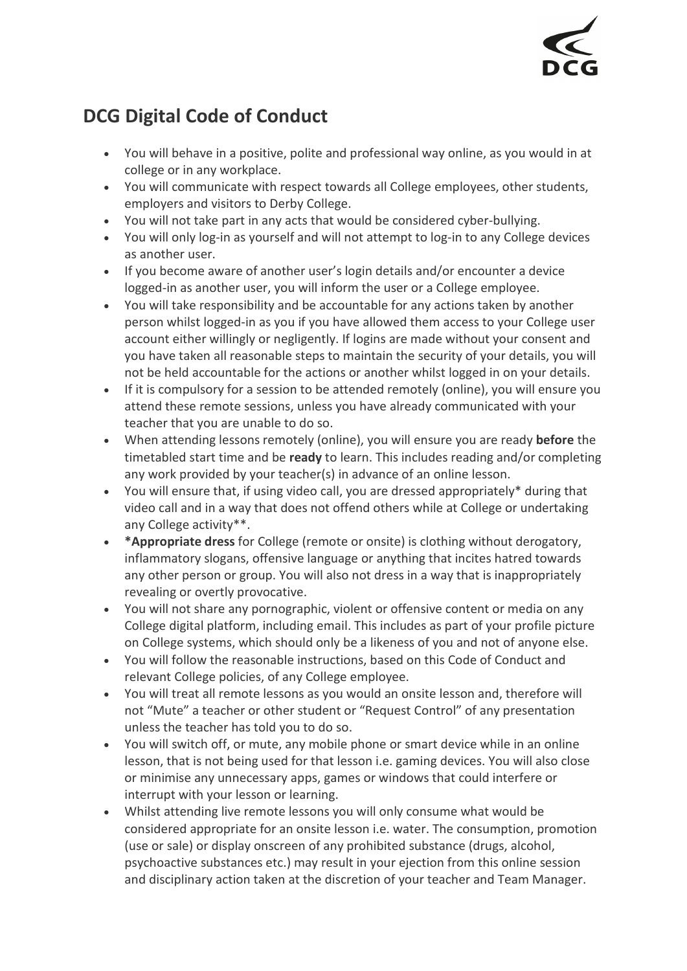

## **DCG Digital Code of Conduct**

- You will behave in a positive, polite and professional way online, as you would in at college or in any workplace.
- You will communicate with respect towards all College employees, other students, employers and visitors to Derby College.
- You will not take part in any acts that would be considered cyber-bullying.
- You will only log-in as yourself and will not attempt to log-in to any College devices as another user.
- If you become aware of another user's login details and/or encounter a device logged-in as another user, you will inform the user or a College employee.
- You will take responsibility and be accountable for any actions taken by another person whilst logged-in as you if you have allowed them access to your College user account either willingly or negligently. If logins are made without your consent and you have taken all reasonable steps to maintain the security of your details, you will not be held accountable for the actions or another whilst logged in on your details.
- If it is compulsory for a session to be attended remotely (online), you will ensure you attend these remote sessions, unless you have already communicated with your teacher that you are unable to do so.
- When attending lessons remotely (online), you will ensure you are ready **before** the timetabled start time and be **ready** to learn. This includes reading and/or completing any work provided by your teacher(s) in advance of an online lesson.
- You will ensure that, if using video call, you are dressed appropriately\* during that video call and in a way that does not offend others while at College or undertaking any College activity\*\*.
- **\*Appropriate dress** for College (remote or onsite) is clothing without derogatory, inflammatory slogans, offensive language or anything that incites hatred towards any other person or group. You will also not dress in a way that is inappropriately revealing or overtly provocative.
- You will not share any pornographic, violent or offensive content or media on any College digital platform, including email. This includes as part of your profile picture on College systems, which should only be a likeness of you and not of anyone else.
- You will follow the reasonable instructions, based on this Code of Conduct and relevant College policies, of any College employee.
- You will treat all remote lessons as you would an onsite lesson and, therefore will not "Mute" a teacher or other student or "Request Control" of any presentation unless the teacher has told you to do so.
- You will switch off, or mute, any mobile phone or smart device while in an online lesson, that is not being used for that lesson i.e. gaming devices. You will also close or minimise any unnecessary apps, games or windows that could interfere or interrupt with your lesson or learning.
- Whilst attending live remote lessons you will only consume what would be considered appropriate for an onsite lesson i.e. water. The consumption, promotion (use or sale) or display onscreen of any prohibited substance (drugs, alcohol, psychoactive substances etc.) may result in your ejection from this online session and disciplinary action taken at the discretion of your teacher and Team Manager.